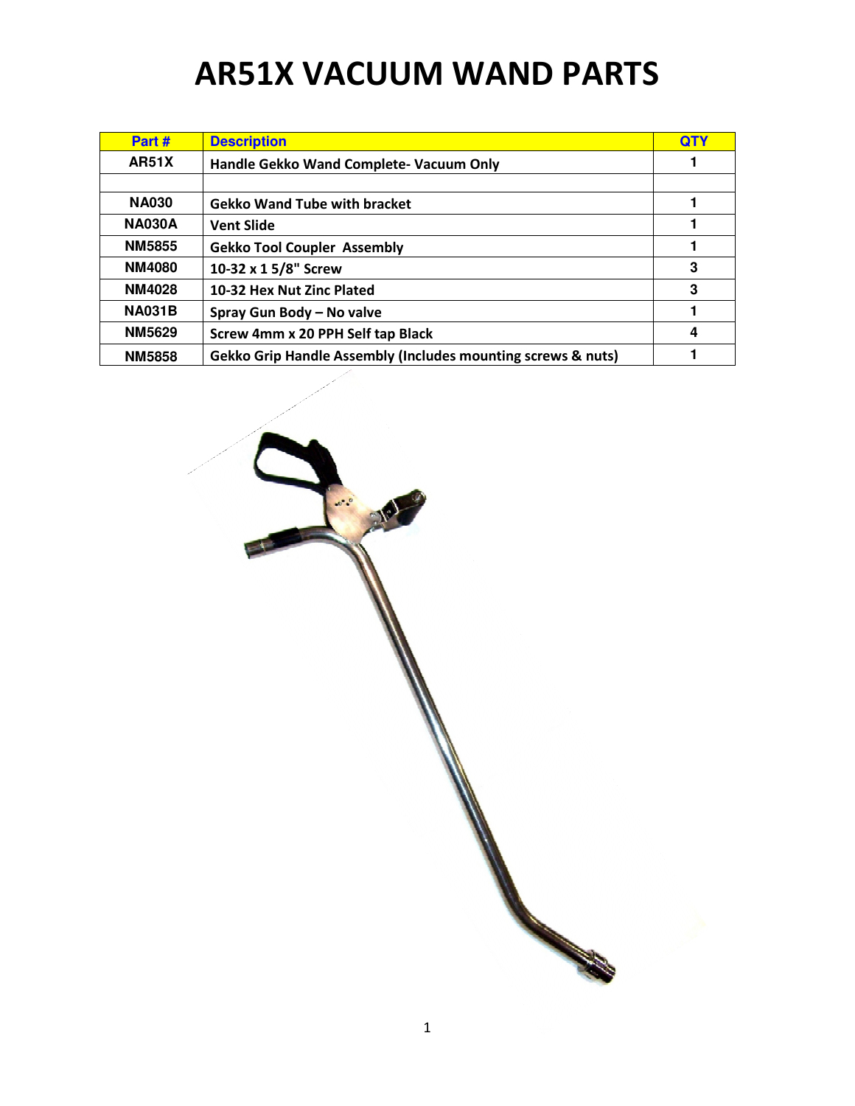## AR51X VACUUM WAND PARTS

| Part #        | <b>Description</b>                                                      | <b>QTY</b> |
|---------------|-------------------------------------------------------------------------|------------|
| <b>AR51X</b>  | Handle Gekko Wand Complete- Vacuum Only                                 |            |
|               |                                                                         |            |
| <b>NA030</b>  | <b>Gekko Wand Tube with bracket</b>                                     |            |
| <b>NA030A</b> | <b>Vent Slide</b>                                                       | 1          |
| <b>NM5855</b> | <b>Gekko Tool Coupler Assembly</b>                                      |            |
| <b>NM4080</b> | 10-32 x 1 5/8" Screw                                                    | 3          |
| <b>NM4028</b> | 10-32 Hex Nut Zinc Plated                                               | 3          |
| <b>NA031B</b> | Spray Gun Body - No valve                                               |            |
| <b>NM5629</b> | Screw 4mm x 20 PPH Self tap Black                                       | 4          |
| <b>NM5858</b> | <b>Gekko Grip Handle Assembly (Includes mounting screws &amp; nuts)</b> |            |

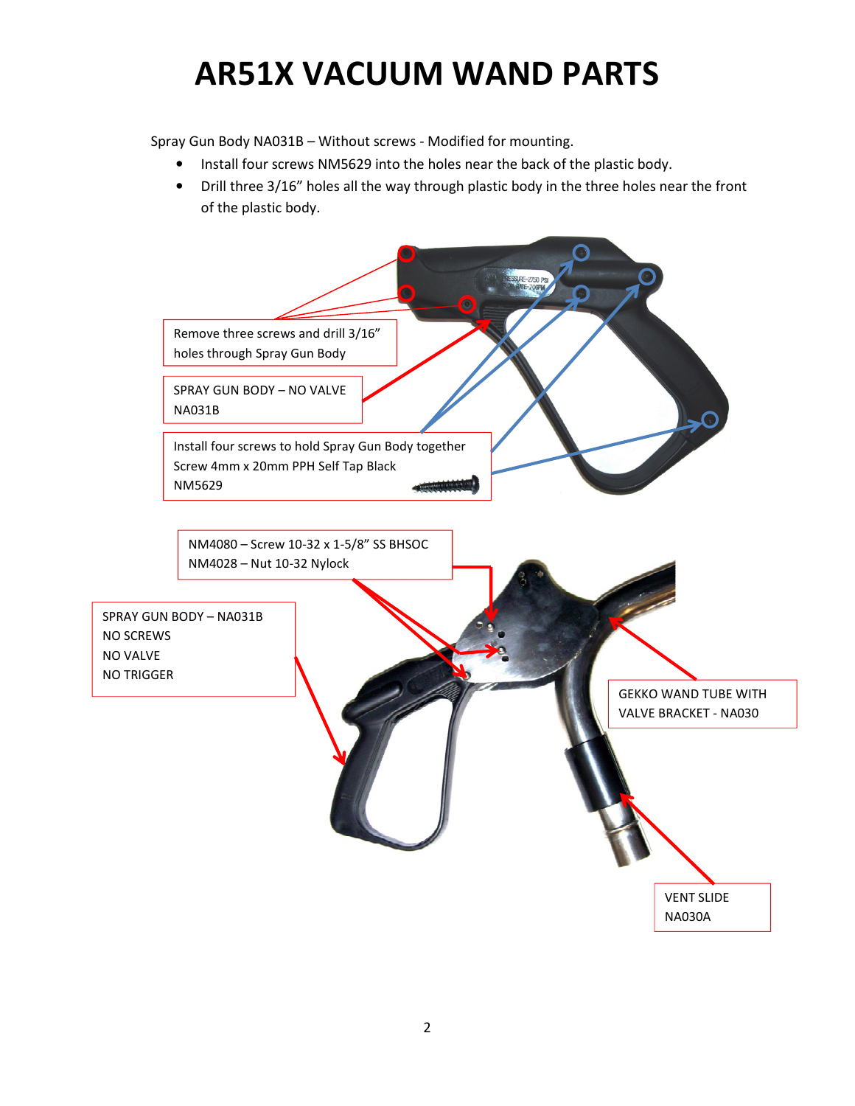## AR51X VACUUM WAND PARTS

Spray Gun Body NA031B – Without screws - Modified for mounting.

- Install four screws NM5629 into the holes near the back of the plastic body.
- Drill three 3/16" holes all the way through plastic body in the three holes near the front of the plastic body.